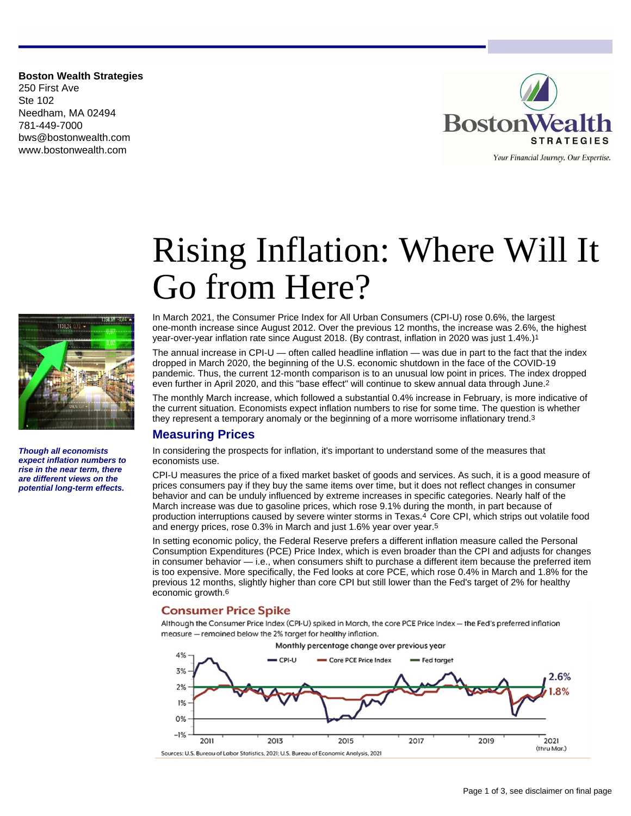**Boston Wealth Strategies** 250 First Ave Ste 102 Needham, MA 02494 781-449-7000 bws@bostonwealth.com www.bostonwealth.com



# Rising Inflation: Where Will It Go from Here?

In March 2021, the Consumer Price Index for All Urban Consumers (CPI-U) rose 0.6%, the largest 1138,24 one-month increase since August 2012. Over the previous 12 months, the increase was 2.6%, the highest year-over-year inflation rate since August 2018. (By contrast, inflation in 2020 was just 1.4%.)1 The annual increase in CPI-U — often called headline inflation — was due in part to the fact that the index dropped in March 2020, the beginning of the U.S. economic shutdown in the face of the COVID-19 pandemic. Thus, the current 12-month comparison is to an unusual low point in prices. The index dropped

> even further in April 2020, and this "base effect" will continue to skew annual data through June.2 The monthly March increase, which followed a substantial 0.4% increase in February, is more indicative of the current situation. Economists expect inflation numbers to rise for some time. The question is whether they represent a temporary anomaly or the beginning of a more worrisome inflationary trend.3

# **Measuring Prices**

In considering the prospects for inflation, it's important to understand some of the measures that economists use.

CPI-U measures the price of a fixed market basket of goods and services. As such, it is a good measure of prices consumers pay if they buy the same items over time, but it does not reflect changes in consumer behavior and can be unduly influenced by extreme increases in specific categories. Nearly half of the March increase was due to gasoline prices, which rose 9.1% during the month, in part because of production interruptions caused by severe winter storms in Texas.4 Core CPI, which strips out volatile food and energy prices, rose 0.3% in March and just 1.6% year over year.5

In setting economic policy, the Federal Reserve prefers a different inflation measure called the Personal Consumption Expenditures (PCE) Price Index, which is even broader than the CPI and adjusts for changes in consumer behavior — i.e., when consumers shift to purchase a different item because the preferred item is too expensive. More specifically, the Fed looks at core PCE, which rose 0.4% in March and 1.8% for the previous 12 months, slightly higher than core CPI but still lower than the Fed's target of 2% for healthy economic growth.6

#### **Consumer Price Spike**

Although the Consumer Price Index (CPI-U) spiked in March, the core PCE Price Index - the Fed's preferred inflation measure - remained below the 2% target for healthy inflation.





**Though all economists expect inflation numbers to rise in the near term, there are different views on the potential long-term effects.**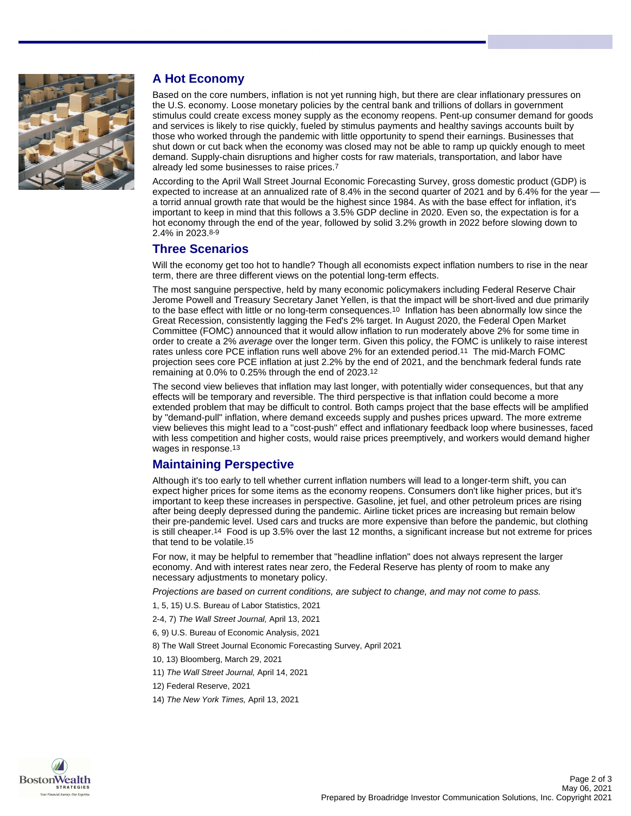

# **A Hot Economy**

Based on the core numbers, inflation is not yet running high, but there are clear inflationary pressures on the U.S. economy. Loose monetary policies by the central bank and trillions of dollars in government stimulus could create excess money supply as the economy reopens. Pent-up consumer demand for goods and services is likely to rise quickly, fueled by stimulus payments and healthy savings accounts built by those who worked through the pandemic with little opportunity to spend their earnings. Businesses that shut down or cut back when the economy was closed may not be able to ramp up quickly enough to meet demand. Supply-chain disruptions and higher costs for raw materials, transportation, and labor have already led some businesses to raise prices.7

According to the April Wall Street Journal Economic Forecasting Survey, gross domestic product (GDP) is expected to increase at an annualized rate of 8.4% in the second quarter of 2021 and by 6.4% for the year a torrid annual growth rate that would be the highest since 1984. As with the base effect for inflation, it's important to keep in mind that this follows a 3.5% GDP decline in 2020. Even so, the expectation is for a hot economy through the end of the year, followed by solid 3.2% growth in 2022 before slowing down to 2.4% in 2023.8-9

# **Three Scenarios**

Will the economy get too hot to handle? Though all economists expect inflation numbers to rise in the near term, there are three different views on the potential long-term effects.

The most sanguine perspective, held by many economic policymakers including Federal Reserve Chair Jerome Powell and Treasury Secretary Janet Yellen, is that the impact will be short-lived and due primarily to the base effect with little or no long-term consequences.10 Inflation has been abnormally low since the Great Recession, consistently lagging the Fed's 2% target. In August 2020, the Federal Open Market Committee (FOMC) announced that it would allow inflation to run moderately above 2% for some time in order to create a 2% average over the longer term. Given this policy, the FOMC is unlikely to raise interest rates unless core PCE inflation runs well above 2% for an extended period.11 The mid-March FOMC projection sees core PCE inflation at just 2.2% by the end of 2021, and the benchmark federal funds rate remaining at 0.0% to 0.25% through the end of 2023.12

The second view believes that inflation may last longer, with potentially wider consequences, but that any effects will be temporary and reversible. The third perspective is that inflation could become a more extended problem that may be difficult to control. Both camps project that the base effects will be amplified by "demand-pull" inflation, where demand exceeds supply and pushes prices upward. The more extreme view believes this might lead to a "cost-push" effect and inflationary feedback loop where businesses, faced with less competition and higher costs, would raise prices preemptively, and workers would demand higher wages in response.13

# **Maintaining Perspective**

Although it's too early to tell whether current inflation numbers will lead to a longer-term shift, you can expect higher prices for some items as the economy reopens. Consumers don't like higher prices, but it's important to keep these increases in perspective. Gasoline, jet fuel, and other petroleum prices are rising after being deeply depressed during the pandemic. Airline ticket prices are increasing but remain below their pre-pandemic level. Used cars and trucks are more expensive than before the pandemic, but clothing is still cheaper.14 Food is up 3.5% over the last 12 months, a significant increase but not extreme for prices that tend to be volatile.15

For now, it may be helpful to remember that "headline inflation" does not always represent the larger economy. And with interest rates near zero, the Federal Reserve has plenty of room to make any necessary adjustments to monetary policy.

Projections are based on current conditions, are subject to change, and may not come to pass.

1, 5, 15) U.S. Bureau of Labor Statistics, 2021

- 2-4, 7) The Wall Street Journal, April 13, 2021
- 6, 9) U.S. Bureau of Economic Analysis, 2021
- 8) The Wall Street Journal Economic Forecasting Survey, April 2021
- 10, 13) Bloomberg, March 29, 2021
- 11) The Wall Street Journal, April 14, 2021
- 12) Federal Reserve, 2021
- 14) The New York Times, April 13, 2021